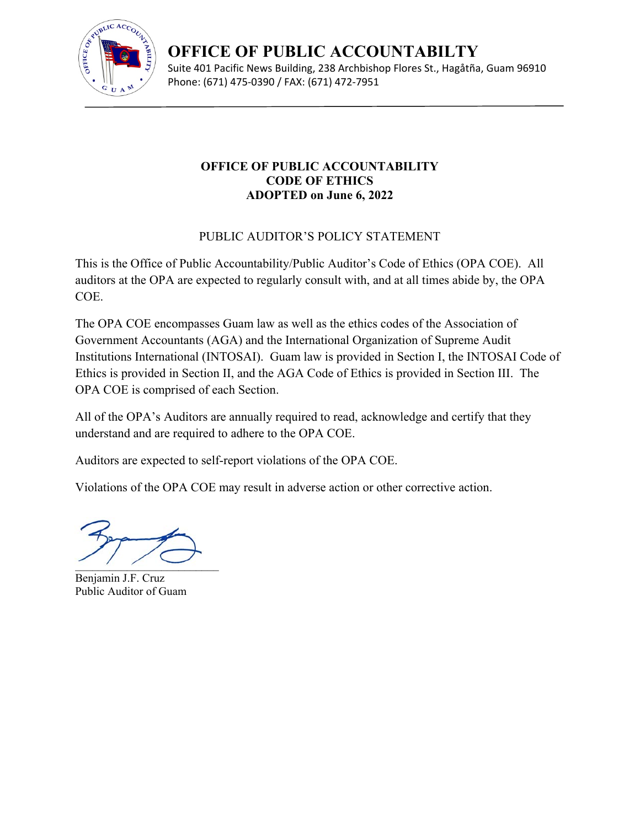

**OFFICE OF PUBLIC ACCOUNTABILTY** Suite 401 Pacific News Building, 238 Archbishop Flores St., Hagåtña, Guam 96910 Phone: (671) 475‐0390 / FAX: (671) 472‐7951

# **OFFICE OF PUBLIC ACCOUNTABILITY CODE OF ETHICS ADOPTED on June 6, 2022**

# PUBLIC AUDITOR'S POLICY STATEMENT

This is the Office of Public Accountability/Public Auditor's Code of Ethics (OPA COE). All auditors at the OPA are expected to regularly consult with, and at all times abide by, the OPA COE.

The OPA COE encompasses Guam law as well as the ethics codes of the Association of Government Accountants (AGA) and the International Organization of Supreme Audit Institutions International (INTOSAI). Guam law is provided in Section I, the INTOSAI Code of Ethics is provided in Section II, and the AGA Code of Ethics is provided in Section III. The OPA COE is comprised of each Section.

All of the OPA's Auditors are annually required to read, acknowledge and certify that they understand and are required to adhere to the OPA COE.

Auditors are expected to self-report violations of the OPA COE.

Violations of the OPA COE may result in adverse action or other corrective action.

 $\overline{\phantom{a}}$ 

Benjamin J.F. Cruz Public Auditor of Guam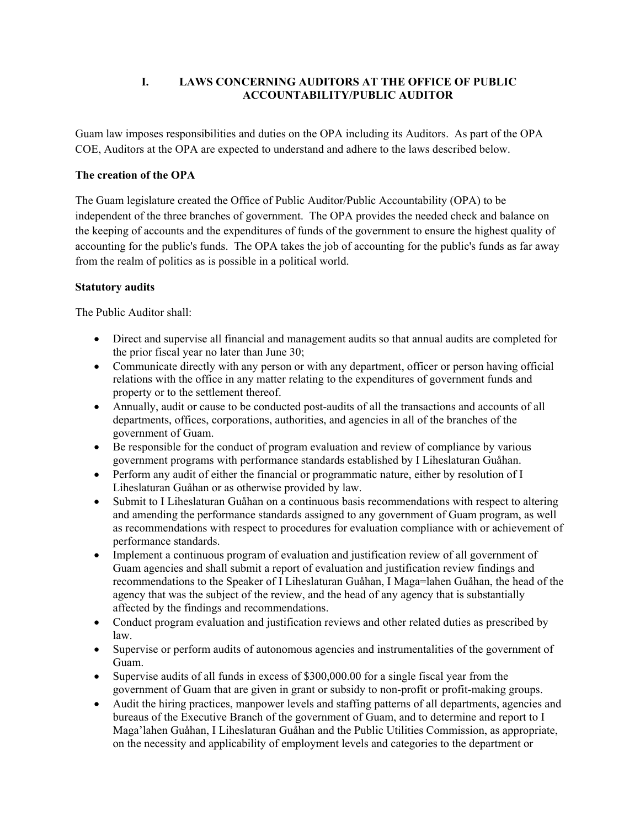# **I. LAWS CONCERNING AUDITORS AT THE OFFICE OF PUBLIC ACCOUNTABILITY/PUBLIC AUDITOR**

Guam law imposes responsibilities and duties on the OPA including its Auditors. As part of the OPA COE, Auditors at the OPA are expected to understand and adhere to the laws described below.

# **The creation of the OPA**

The Guam legislature created the Office of Public Auditor/Public Accountability (OPA) to be independent of the three branches of government. The OPA provides the needed check and balance on the keeping of accounts and the expenditures of funds of the government to ensure the highest quality of accounting for the public's funds. The OPA takes the job of accounting for the public's funds as far away from the realm of politics as is possible in a political world.

# **Statutory audits**

The Public Auditor shall:

- Direct and supervise all financial and management audits so that annual audits are completed for the prior fiscal year no later than June 30;
- Communicate directly with any person or with any department, officer or person having official relations with the office in any matter relating to the expenditures of government funds and property or to the settlement thereof.
- Annually, audit or cause to be conducted post-audits of all the transactions and accounts of all departments, offices, corporations, authorities, and agencies in all of the branches of the government of Guam.
- Be responsible for the conduct of program evaluation and review of compliance by various government programs with performance standards established by I Liheslaturan Guåhan.
- Perform any audit of either the financial or programmatic nature, either by resolution of I Liheslaturan Guåhan or as otherwise provided by law.
- Submit to I Liheslaturan Guåhan on a continuous basis recommendations with respect to altering and amending the performance standards assigned to any government of Guam program, as well as recommendations with respect to procedures for evaluation compliance with or achievement of performance standards.
- Implement a continuous program of evaluation and justification review of all government of Guam agencies and shall submit a report of evaluation and justification review findings and recommendations to the Speaker of I Liheslaturan Guåhan, I Maga=lahen Guåhan, the head of the agency that was the subject of the review, and the head of any agency that is substantially affected by the findings and recommendations.
- Conduct program evaluation and justification reviews and other related duties as prescribed by law.
- Supervise or perform audits of autonomous agencies and instrumentalities of the government of Guam.
- Supervise audits of all funds in excess of \$300,000.00 for a single fiscal year from the government of Guam that are given in grant or subsidy to non-profit or profit-making groups.
- Audit the hiring practices, manpower levels and staffing patterns of all departments, agencies and bureaus of the Executive Branch of the government of Guam, and to determine and report to I Maga'lahen Guåhan, I Liheslaturan Guåhan and the Public Utilities Commission, as appropriate, on the necessity and applicability of employment levels and categories to the department or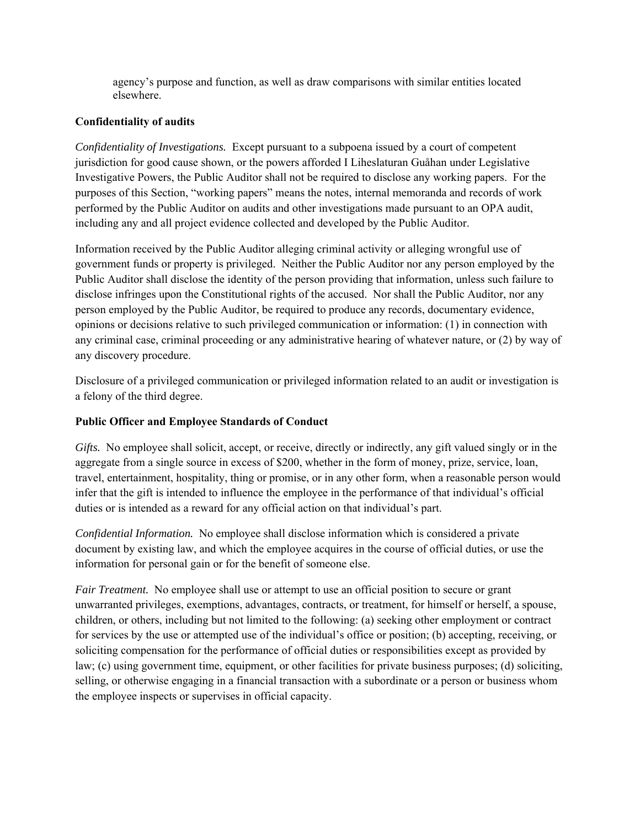agency's purpose and function, as well as draw comparisons with similar entities located elsewhere.

# **Confidentiality of audits**

*Confidentiality of Investigations.* Except pursuant to a subpoena issued by a court of competent jurisdiction for good cause shown, or the powers afforded I Liheslaturan Guåhan under Legislative Investigative Powers, the Public Auditor shall not be required to disclose any working papers. For the purposes of this Section, "working papers" means the notes, internal memoranda and records of work performed by the Public Auditor on audits and other investigations made pursuant to an OPA audit, including any and all project evidence collected and developed by the Public Auditor.

Information received by the Public Auditor alleging criminal activity or alleging wrongful use of government funds or property is privileged. Neither the Public Auditor nor any person employed by the Public Auditor shall disclose the identity of the person providing that information, unless such failure to disclose infringes upon the Constitutional rights of the accused. Nor shall the Public Auditor, nor any person employed by the Public Auditor, be required to produce any records, documentary evidence, opinions or decisions relative to such privileged communication or information: (1) in connection with any criminal case, criminal proceeding or any administrative hearing of whatever nature, or (2) by way of any discovery procedure.

Disclosure of a privileged communication or privileged information related to an audit or investigation is a felony of the third degree.

# **Public Officer and Employee Standards of Conduct**

*Gifts.* No employee shall solicit, accept, or receive, directly or indirectly, any gift valued singly or in the aggregate from a single source in excess of \$200, whether in the form of money, prize, service, loan, travel, entertainment, hospitality, thing or promise, or in any other form, when a reasonable person would infer that the gift is intended to influence the employee in the performance of that individual's official duties or is intended as a reward for any official action on that individual's part.

*Confidential Information.* No employee shall disclose information which is considered a private document by existing law, and which the employee acquires in the course of official duties, or use the information for personal gain or for the benefit of someone else.

*Fair Treatment.* No employee shall use or attempt to use an official position to secure or grant unwarranted privileges, exemptions, advantages, contracts, or treatment, for himself or herself, a spouse, children, or others, including but not limited to the following: (a) seeking other employment or contract for services by the use or attempted use of the individual's office or position; (b) accepting, receiving, or soliciting compensation for the performance of official duties or responsibilities except as provided by law; (c) using government time, equipment, or other facilities for private business purposes; (d) soliciting, selling, or otherwise engaging in a financial transaction with a subordinate or a person or business whom the employee inspects or supervises in official capacity.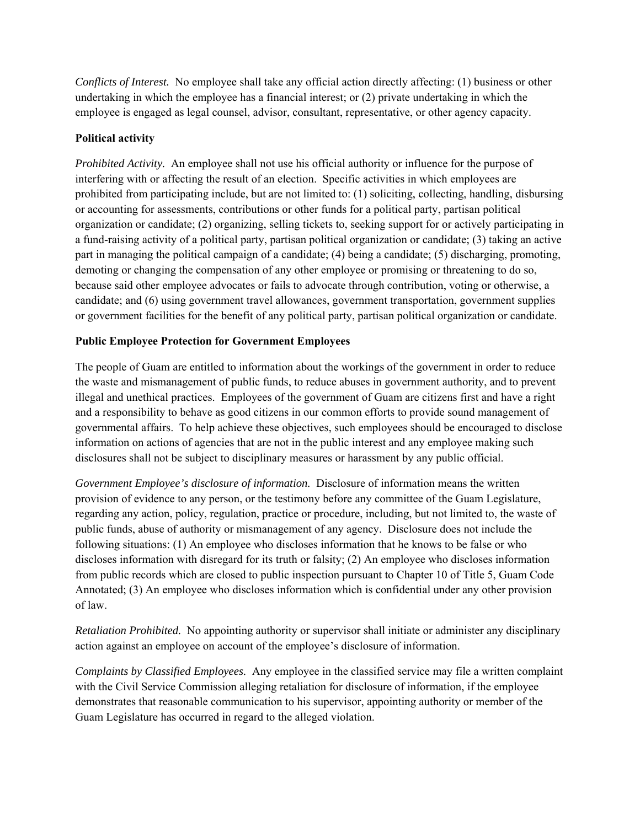*Conflicts of Interest.* No employee shall take any official action directly affecting: (1) business or other undertaking in which the employee has a financial interest; or (2) private undertaking in which the employee is engaged as legal counsel, advisor, consultant, representative, or other agency capacity.

# **Political activity**

*Prohibited Activity.* An employee shall not use his official authority or influence for the purpose of interfering with or affecting the result of an election. Specific activities in which employees are prohibited from participating include, but are not limited to: (1) soliciting, collecting, handling, disbursing or accounting for assessments, contributions or other funds for a political party, partisan political organization or candidate; (2) organizing, selling tickets to, seeking support for or actively participating in a fund-raising activity of a political party, partisan political organization or candidate; (3) taking an active part in managing the political campaign of a candidate; (4) being a candidate; (5) discharging, promoting, demoting or changing the compensation of any other employee or promising or threatening to do so, because said other employee advocates or fails to advocate through contribution, voting or otherwise, a candidate; and (6) using government travel allowances, government transportation, government supplies or government facilities for the benefit of any political party, partisan political organization or candidate.

# **Public Employee Protection for Government Employees**

The people of Guam are entitled to information about the workings of the government in order to reduce the waste and mismanagement of public funds, to reduce abuses in government authority, and to prevent illegal and unethical practices. Employees of the government of Guam are citizens first and have a right and a responsibility to behave as good citizens in our common efforts to provide sound management of governmental affairs. To help achieve these objectives, such employees should be encouraged to disclose information on actions of agencies that are not in the public interest and any employee making such disclosures shall not be subject to disciplinary measures or harassment by any public official.

*Government Employee's disclosure of information.* Disclosure of information means the written provision of evidence to any person, or the testimony before any committee of the Guam Legislature, regarding any action, policy, regulation, practice or procedure, including, but not limited to, the waste of public funds, abuse of authority or mismanagement of any agency. Disclosure does not include the following situations: (1) An employee who discloses information that he knows to be false or who discloses information with disregard for its truth or falsity; (2) An employee who discloses information from public records which are closed to public inspection pursuant to Chapter 10 of Title 5, Guam Code Annotated; (3) An employee who discloses information which is confidential under any other provision of law.

*Retaliation Prohibited.* No appointing authority or supervisor shall initiate or administer any disciplinary action against an employee on account of the employee's disclosure of information.

*Complaints by Classified Employees.* Any employee in the classified service may file a written complaint with the Civil Service Commission alleging retaliation for disclosure of information, if the employee demonstrates that reasonable communication to his supervisor, appointing authority or member of the Guam Legislature has occurred in regard to the alleged violation.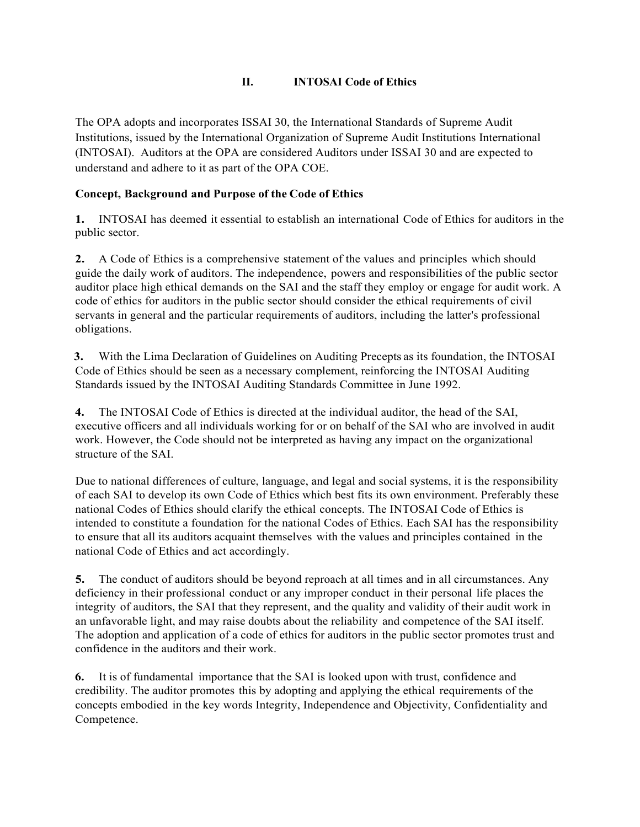# **II. INTOSAI Code of Ethics**

The OPA adopts and incorporates ISSAI 30, the International Standards of Supreme Audit Institutions, issued by the International Organization of Supreme Audit Institutions International (INTOSAI). Auditors at the OPA are considered Auditors under ISSAI 30 and are expected to understand and adhere to it as part of the OPA COE.

# **Concept, Background and Purpose of the Code of Ethics**

**1.** INTOSAI has deemed it essential to establish an international Code of Ethics for auditors in the public sector.

**2.** A Code of Ethics is a comprehensive statement of the values and principles which should guide the daily work of auditors. The independence, powers and responsibilities of the public sector auditor place high ethical demands on the SAI and the staff they employ or engage for audit work. A code of ethics for auditors in the public sector should consider the ethical requirements of civil servants in general and the particular requirements of auditors, including the latter's professional obligations.

**3.** With the Lima Declaration of Guidelines on Auditing Precepts as its foundation, the INTOSAI Code of Ethics should be seen as a necessary complement, reinforcing the INTOSAI Auditing Standards issued by the INTOSAI Auditing Standards Committee in June 1992.

**4.** The INTOSAI Code of Ethics is directed at the individual auditor, the head of the SAI, executive officers and all individuals working for or on behalf of the SAI who are involved in audit work. However, the Code should not be interpreted as having any impact on the organizational structure of the SAI.

Due to national differences of culture, language, and legal and social systems, it is the responsibility of each SAI to develop its own Code of Ethics which best fits its own environment. Preferably these national Codes of Ethics should clarify the ethical concepts. The INTOSAI Code of Ethics is intended to constitute a foundation for the national Codes of Ethics. Each SAI has the responsibility to ensure that all its auditors acquaint themselves with the values and principles contained in the national Code of Ethics and act accordingly.

**5.** The conduct of auditors should be beyond reproach at all times and in all circumstances. Any deficiency in their professional conduct or any improper conduct in their personal life places the integrity of auditors, the SAI that they represent, and the quality and validity of their audit work in an unfavorable light, and may raise doubts about the reliability and competence of the SAI itself. The adoption and application of a code of ethics for auditors in the public sector promotes trust and confidence in the auditors and their work.

**6.** It is of fundamental importance that the SAI is looked upon with trust, confidence and credibility. The auditor promotes this by adopting and applying the ethical requirements of the concepts embodied in the key words Integrity, Independence and Objectivity, Confidentiality and Competence.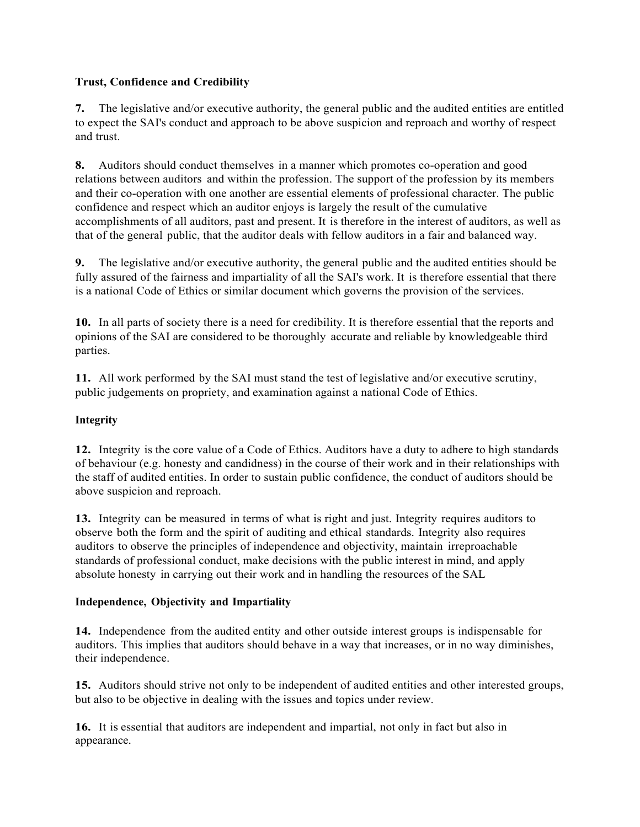# **Trust, Confidence and Credibility**

**7.** The legislative and/or executive authority, the general public and the audited entities are entitled to expect the SAI's conduct and approach to be above suspicion and reproach and worthy of respect and trust.

**8.** Auditors should conduct themselves in a manner which promotes co-operation and good relations between auditors and within the profession. The support of the profession by its members and their co-operation with one another are essential elements of professional character. The public confidence and respect which an auditor enjoys is largely the result of the cumulative accomplishments of all auditors, past and present. It is therefore in the interest of auditors, as well as that of the general public, that the auditor deals with fellow auditors in a fair and balanced way.

**9.** The legislative and/or executive authority, the general public and the audited entities should be fully assured of the fairness and impartiality of all the SAI's work. It is therefore essential that there is a national Code of Ethics or similar document which governs the provision of the services.

**10.** In all parts of society there is a need for credibility. It is therefore essential that the reports and opinions of the SAI are considered to be thoroughly accurate and reliable by knowledgeable third parties.

**11.** All work performed by the SAI must stand the test of legislative and/or executive scrutiny, public judgements on propriety, and examination against a national Code of Ethics.

# **Integrity**

**12.** Integrity is the core value of a Code of Ethics. Auditors have a duty to adhere to high standards of behaviour (e.g. honesty and candidness) in the course of their work and in their relationships with the staff of audited entities. In order to sustain public confidence, the conduct of auditors should be above suspicion and reproach.

**13.** Integrity can be measured in terms of what is right and just. Integrity requires auditors to observe both the form and the spirit of auditing and ethical standards. Integrity also requires auditors to observe the principles of independence and objectivity, maintain irreproachable standards of professional conduct, make decisions with the public interest in mind, and apply absolute honesty in carrying out their work and in handling the resources of the SAL

### **Independence, Objectivity and Impartiality**

**14.** Independence from the audited entity and other outside interest groups is indispensable for auditors. This implies that auditors should behave in a way that increases, or in no way diminishes, their independence.

**15.** Auditors should strive not only to be independent of audited entities and other interested groups, but also to be objective in dealing with the issues and topics under review.

**16.** It is essential that auditors are independent and impartial, not only in fact but also in appearance.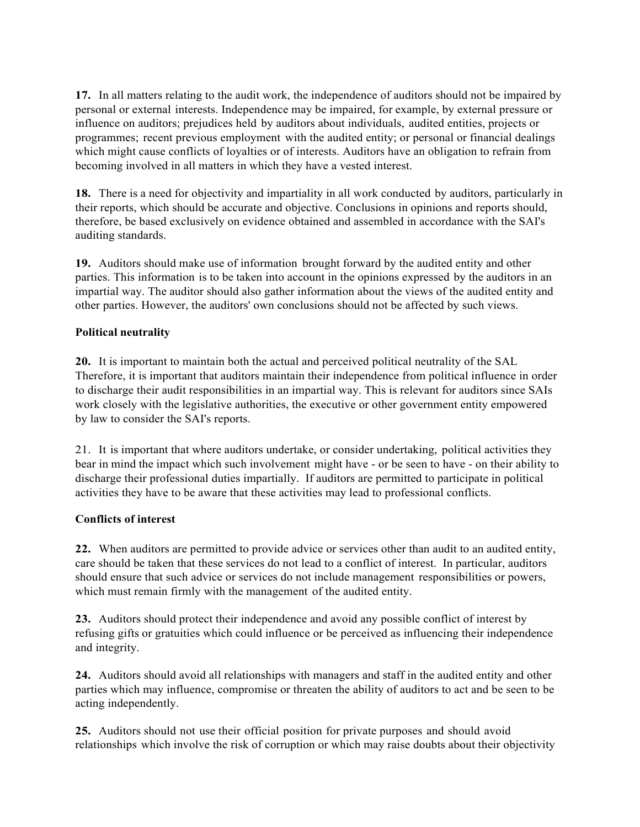**17.** In all matters relating to the audit work, the independence of auditors should not be impaired by personal or external interests. Independence may be impaired, for example, by external pressure or influence on auditors; prejudices held by auditors about individuals, audited entities, projects or programmes; recent previous employment with the audited entity; or personal or financial dealings which might cause conflicts of loyalties or of interests. Auditors have an obligation to refrain from becoming involved in all matters in which they have a vested interest.

**18.** There is a need for objectivity and impartiality in all work conducted by auditors, particularly in their reports, which should be accurate and objective. Conclusions in opinions and reports should, therefore, be based exclusively on evidence obtained and assembled in accordance with the SAI's auditing standards.

**19.** Auditors should make use of information brought forward by the audited entity and other parties. This information is to be taken into account in the opinions expressed by the auditors in an impartial way. The auditor should also gather information about the views of the audited entity and other parties. However, the auditors' own conclusions should not be affected by such views.

# **Political neutrality**

**20.** It is important to maintain both the actual and perceived political neutrality of the SAL Therefore, it is important that auditors maintain their independence from political influence in order to discharge their audit responsibilities in an impartial way. This is relevant for auditors since SAIs work closely with the legislative authorities, the executive or other government entity empowered by law to consider the SAI's reports.

21. It is important that where auditors undertake, or consider undertaking, political activities they bear in mind the impact which such involvement might have - or be seen to have - on their ability to discharge their professional duties impartially. If auditors are permitted to participate in political activities they have to be aware that these activities may lead to professional conflicts.

### **Conflicts of interest**

**22.** When auditors are permitted to provide advice or services other than audit to an audited entity, care should be taken that these services do not lead to a conflict of interest. In particular, auditors should ensure that such advice or services do not include management responsibilities or powers, which must remain firmly with the management of the audited entity.

**23.** Auditors should protect their independence and avoid any possible conflict of interest by refusing gifts or gratuities which could influence or be perceived as influencing their independence and integrity.

**24.** Auditors should avoid all relationships with managers and staff in the audited entity and other parties which may influence, compromise or threaten the ability of auditors to act and be seen to be acting independently.

**25.** Auditors should not use their official position for private purposes and should avoid relationships which involve the risk of corruption or which may raise doubts about their objectivity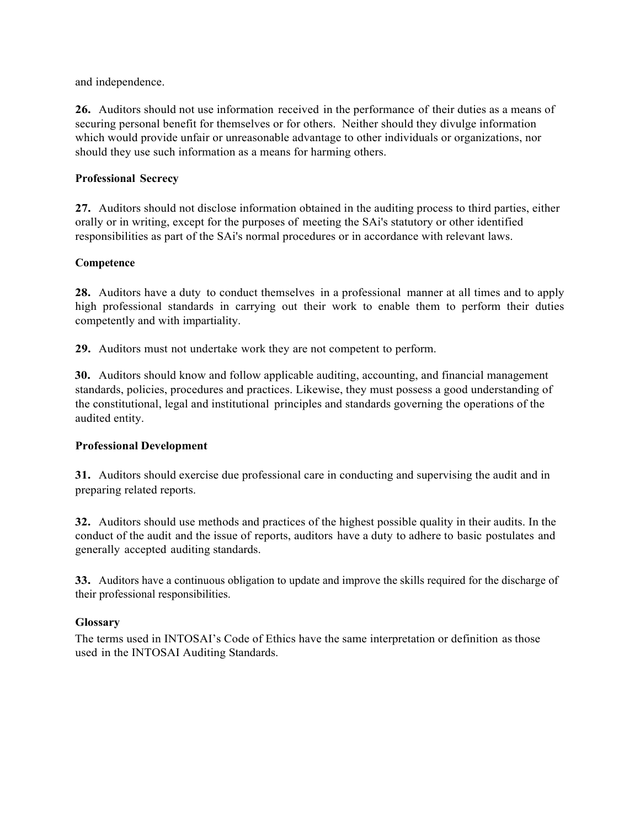and independence.

**26.** Auditors should not use information received in the performance of their duties as a means of securing personal benefit for themselves or for others. Neither should they divulge information which would provide unfair or unreasonable advantage to other individuals or organizations, nor should they use such information as a means for harming others.

# **Professional Secrecy**

**27.** Auditors should not disclose information obtained in the auditing process to third parties, either orally or in writing, except for the purposes of meeting the SAi's statutory or other identified responsibilities as part of the SAi's normal procedures or in accordance with relevant laws.

# **Competence**

**28.** Auditors have a duty to conduct themselves in a professional manner at all times and to apply high professional standards in carrying out their work to enable them to perform their duties competently and with impartiality.

**29.** Auditors must not undertake work they are not competent to perform.

**30.** Auditors should know and follow applicable auditing, accounting, and financial management standards, policies, procedures and practices. Likewise, they must possess a good understanding of the constitutional, legal and institutional principles and standards governing the operations of the audited entity.

### **Professional Development**

**31.** Auditors should exercise due professional care in conducting and supervising the audit and in preparing related reports.

**32.** Auditors should use methods and practices of the highest possible quality in their audits. In the conduct of the audit and the issue of reports, auditors have a duty to adhere to basic postulates and generally accepted auditing standards.

**33.** Auditors have a continuous obligation to update and improve the skills required for the discharge of their professional responsibilities.

### **Glossary**

The terms used in INTOSAI's Code of Ethics have the same interpretation or definition as those used in the INTOSAI Auditing Standards.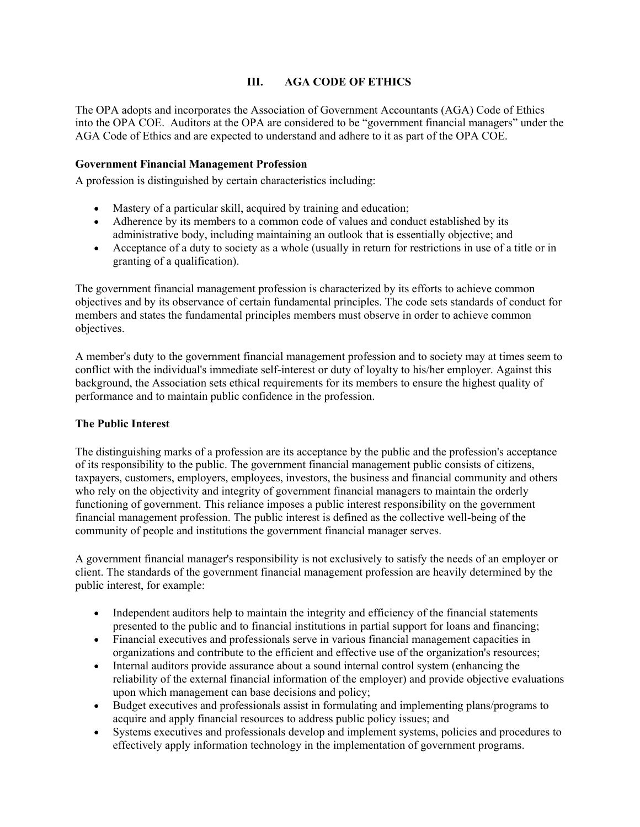# **III. AGA CODE OF ETHICS**

The OPA adopts and incorporates the Association of Government Accountants (AGA) Code of Ethics into the OPA COE. Auditors at the OPA are considered to be "government financial managers" under the AGA Code of Ethics and are expected to understand and adhere to it as part of the OPA COE.

### **Government Financial Management Profession**

A profession is distinguished by certain characteristics including:

- Mastery of a particular skill, acquired by training and education;
- Adherence by its members to a common code of values and conduct established by its administrative body, including maintaining an outlook that is essentially objective; and
- Acceptance of a duty to society as a whole (usually in return for restrictions in use of a title or in granting of a qualification).

The government financial management profession is characterized by its efforts to achieve common objectives and by its observance of certain fundamental principles. The code sets standards of conduct for members and states the fundamental principles members must observe in order to achieve common objectives.

A member's duty to the government financial management profession and to society may at times seem to conflict with the individual's immediate self-interest or duty of loyalty to his/her employer. Against this background, the Association sets ethical requirements for its members to ensure the highest quality of performance and to maintain public confidence in the profession.

### **The Public Interest**

The distinguishing marks of a profession are its acceptance by the public and the profession's acceptance of its responsibility to the public. The government financial management public consists of citizens, taxpayers, customers, employers, employees, investors, the business and financial community and others who rely on the objectivity and integrity of government financial managers to maintain the orderly functioning of government. This reliance imposes a public interest responsibility on the government financial management profession. The public interest is defined as the collective well-being of the community of people and institutions the government financial manager serves.

A government financial manager's responsibility is not exclusively to satisfy the needs of an employer or client. The standards of the government financial management profession are heavily determined by the public interest, for example:

- Independent auditors help to maintain the integrity and efficiency of the financial statements presented to the public and to financial institutions in partial support for loans and financing;
- Financial executives and professionals serve in various financial management capacities in organizations and contribute to the efficient and effective use of the organization's resources;
- Internal auditors provide assurance about a sound internal control system (enhancing the reliability of the external financial information of the employer) and provide objective evaluations upon which management can base decisions and policy;
- Budget executives and professionals assist in formulating and implementing plans/programs to acquire and apply financial resources to address public policy issues; and
- Systems executives and professionals develop and implement systems, policies and procedures to effectively apply information technology in the implementation of government programs.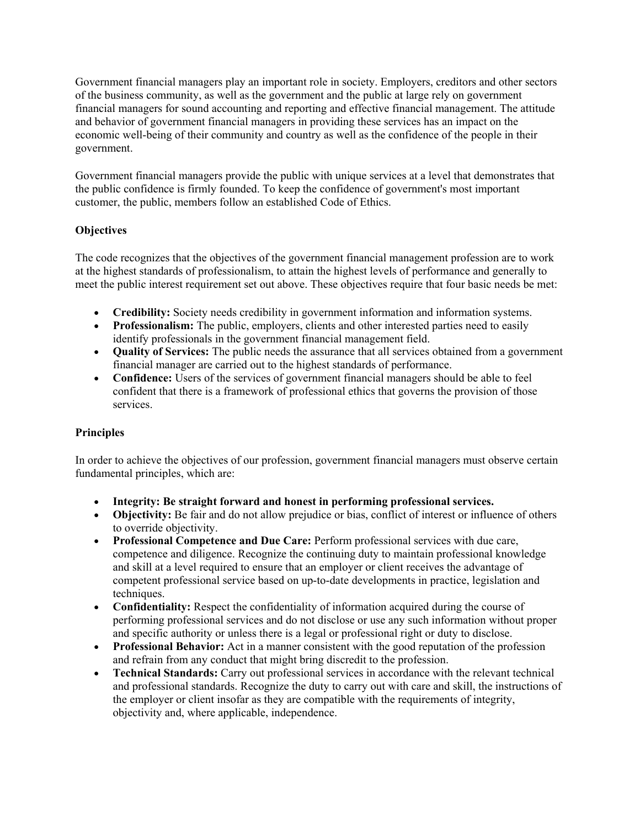Government financial managers play an important role in society. Employers, creditors and other sectors of the business community, as well as the government and the public at large rely on government financial managers for sound accounting and reporting and effective financial management. The attitude and behavior of government financial managers in providing these services has an impact on the economic well-being of their community and country as well as the confidence of the people in their government.

Government financial managers provide the public with unique services at a level that demonstrates that the public confidence is firmly founded. To keep the confidence of government's most important customer, the public, members follow an established Code of Ethics.

# **Objectives**

The code recognizes that the objectives of the government financial management profession are to work at the highest standards of professionalism, to attain the highest levels of performance and generally to meet the public interest requirement set out above. These objectives require that four basic needs be met:

- **Credibility:** Society needs credibility in government information and information systems.
- **Professionalism:** The public, employers, clients and other interested parties need to easily identify professionals in the government financial management field.
- **Quality of Services:** The public needs the assurance that all services obtained from a government financial manager are carried out to the highest standards of performance.
- **Confidence:** Users of the services of government financial managers should be able to feel confident that there is a framework of professional ethics that governs the provision of those services.

# **Principles**

In order to achieve the objectives of our profession, government financial managers must observe certain fundamental principles, which are:

- **Integrity: Be straight forward and honest in performing professional services.**
- **Objectivity:** Be fair and do not allow prejudice or bias, conflict of interest or influence of others to override objectivity.
- **Professional Competence and Due Care:** Perform professional services with due care, competence and diligence. Recognize the continuing duty to maintain professional knowledge and skill at a level required to ensure that an employer or client receives the advantage of competent professional service based on up-to-date developments in practice, legislation and techniques.
- **Confidentiality:** Respect the confidentiality of information acquired during the course of performing professional services and do not disclose or use any such information without proper and specific authority or unless there is a legal or professional right or duty to disclose.
- **Professional Behavior:** Act in a manner consistent with the good reputation of the profession and refrain from any conduct that might bring discredit to the profession.
- **Technical Standards:** Carry out professional services in accordance with the relevant technical and professional standards. Recognize the duty to carry out with care and skill, the instructions of the employer or client insofar as they are compatible with the requirements of integrity, objectivity and, where applicable, independence.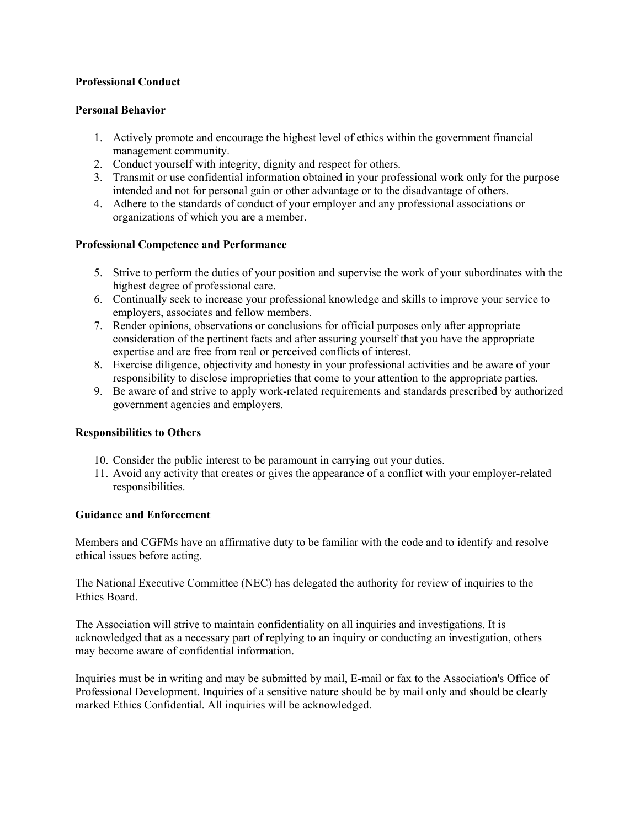### **Professional Conduct**

### **Personal Behavior**

- 1. Actively promote and encourage the highest level of ethics within the government financial management community.
- 2. Conduct yourself with integrity, dignity and respect for others.
- 3. Transmit or use confidential information obtained in your professional work only for the purpose intended and not for personal gain or other advantage or to the disadvantage of others.
- 4. Adhere to the standards of conduct of your employer and any professional associations or organizations of which you are a member.

# **Professional Competence and Performance**

- 5. Strive to perform the duties of your position and supervise the work of your subordinates with the highest degree of professional care.
- 6. Continually seek to increase your professional knowledge and skills to improve your service to employers, associates and fellow members.
- 7. Render opinions, observations or conclusions for official purposes only after appropriate consideration of the pertinent facts and after assuring yourself that you have the appropriate expertise and are free from real or perceived conflicts of interest.
- 8. Exercise diligence, objectivity and honesty in your professional activities and be aware of your responsibility to disclose improprieties that come to your attention to the appropriate parties.
- 9. Be aware of and strive to apply work-related requirements and standards prescribed by authorized government agencies and employers.

### **Responsibilities to Others**

- 10. Consider the public interest to be paramount in carrying out your duties.
- 11. Avoid any activity that creates or gives the appearance of a conflict with your employer-related responsibilities.

### **Guidance and Enforcement**

Members and CGFMs have an affirmative duty to be familiar with the code and to identify and resolve ethical issues before acting.

The National Executive Committee (NEC) has delegated the authority for review of inquiries to the Ethics Board.

The Association will strive to maintain confidentiality on all inquiries and investigations. It is acknowledged that as a necessary part of replying to an inquiry or conducting an investigation, others may become aware of confidential information.

Inquiries must be in writing and may be submitted by mail, E-mail or fax to the Association's Office of Professional Development. Inquiries of a sensitive nature should be by mail only and should be clearly marked Ethics Confidential. All inquiries will be acknowledged.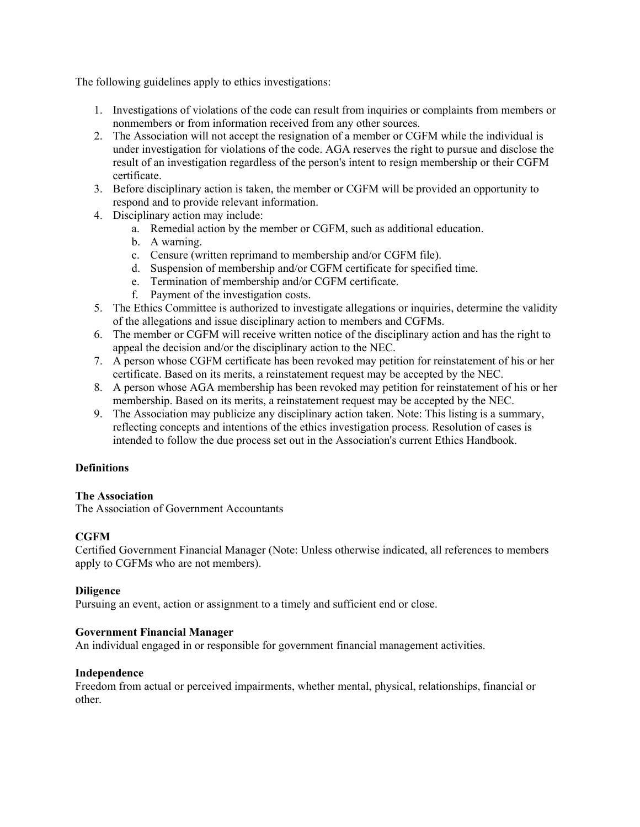The following guidelines apply to ethics investigations:

- 1. Investigations of violations of the code can result from inquiries or complaints from members or nonmembers or from information received from any other sources.
- 2. The Association will not accept the resignation of a member or CGFM while the individual is under investigation for violations of the code. AGA reserves the right to pursue and disclose the result of an investigation regardless of the person's intent to resign membership or their CGFM certificate.
- 3. Before disciplinary action is taken, the member or CGFM will be provided an opportunity to respond and to provide relevant information.
- 4. Disciplinary action may include:
	- a. Remedial action by the member or CGFM, such as additional education.
	- b. A warning.
	- c. Censure (written reprimand to membership and/or CGFM file).
	- d. Suspension of membership and/or CGFM certificate for specified time.
	- e. Termination of membership and/or CGFM certificate.
	- f. Payment of the investigation costs.
- 5. The Ethics Committee is authorized to investigate allegations or inquiries, determine the validity of the allegations and issue disciplinary action to members and CGFMs.
- 6. The member or CGFM will receive written notice of the disciplinary action and has the right to appeal the decision and/or the disciplinary action to the NEC.
- 7. A person whose CGFM certificate has been revoked may petition for reinstatement of his or her certificate. Based on its merits, a reinstatement request may be accepted by the NEC.
- 8. A person whose AGA membership has been revoked may petition for reinstatement of his or her membership. Based on its merits, a reinstatement request may be accepted by the NEC.
- 9. The Association may publicize any disciplinary action taken. Note: This listing is a summary, reflecting concepts and intentions of the ethics investigation process. Resolution of cases is intended to follow the due process set out in the Association's current Ethics Handbook.

### **Definitions**

### **The Association**

The Association of Government Accountants

### **CGFM**

Certified Government Financial Manager (Note: Unless otherwise indicated, all references to members apply to CGFMs who are not members).

### **Diligence**

Pursuing an event, action or assignment to a timely and sufficient end or close.

### **Government Financial Manager**

An individual engaged in or responsible for government financial management activities.

### **Independence**

Freedom from actual or perceived impairments, whether mental, physical, relationships, financial or other.